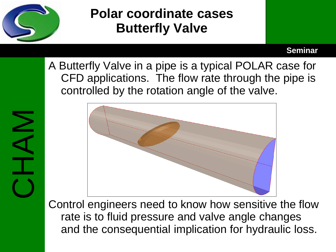

NNH<br>CHAM

# **Polar coordinate cases Butterfly Valve**

### **Seminar**

A Butterfly Valve in a pipe is a typical POLAR case for CFD applications. The flow rate through the pipe is controlled by the rotation angle of the valve.



Control engineers need to know how sensitive the flow rate is to fluid pressure and valve angle changes and the consequential implication for hydraulic loss.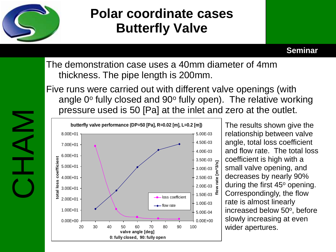

**Seminar**

The demonstration case uses a 40mm diameter of 4mm thickness. The pipe length is 200mm.

Five runs were carried out with different valve openings (with angle  $0^{\circ}$  fully closed and  $90^{\circ}$  fully open). The relative working pressure used is 50 [Pa] at the inlet and zero at the outlet.



The results shown give the relationship between valve angle, total loss coefficient and flow rate. The total loss coefficient is high with a small valve opening, and decreases by nearly 90% during the first  $45^\circ$  opening. Correspondingly, the flow rate is almost linearly increased below 50°, before slowly increasing at even wider apertures.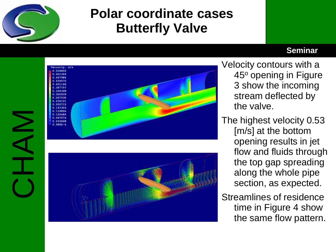

### **Seminar**



- Velocity contours with a 45° opening in Figure 3 show the incoming stream deflected by the valve.
- The highest velocity 0.53 [m/s] at the bottom opening results in jet flow and fluids through the top gap spreading along the whole pipe section, as expected.
- Streamlines of residence time in Figure 4 show the same flow pattern.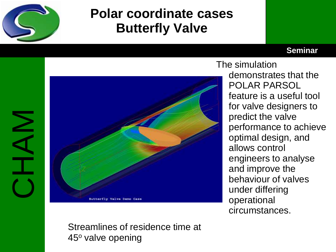

### **Seminar**

# CHAM



The simulation demonstrates that the POLAR PARSOL feature is a useful tool for valve designers to predict the valve performance to achieve optimal design, and allows control engineers to analyse and improve the behaviour of valves under differing operational circumstances.

Streamlines of residence time at  $45°$  valve opening